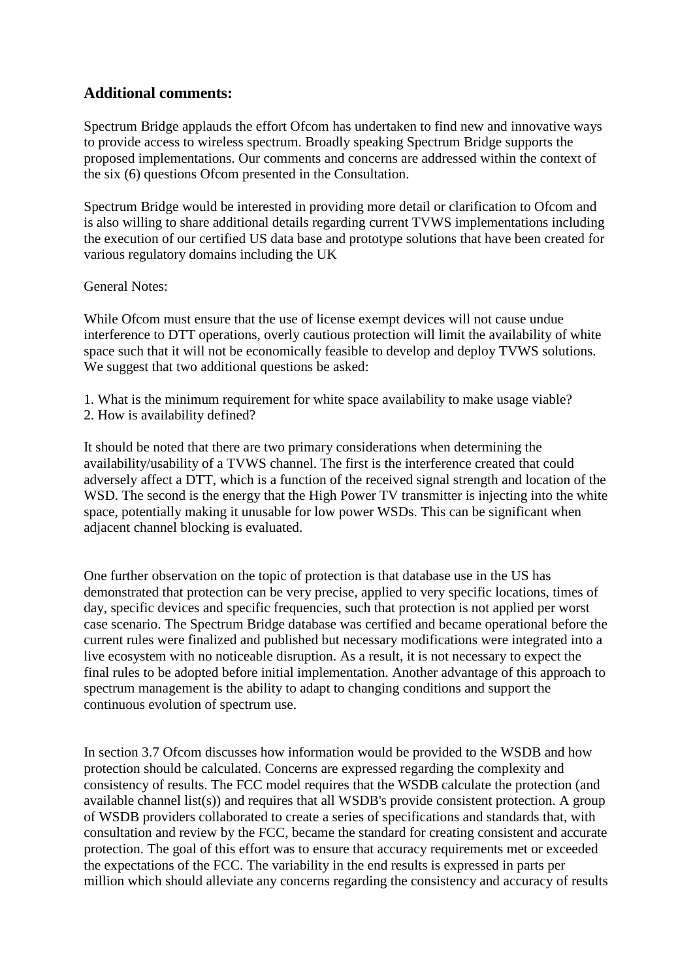#### **Additional comments:**

Spectrum Bridge applauds the effort Ofcom has undertaken to find new and innovative ways to provide access to wireless spectrum. Broadly speaking Spectrum Bridge supports the proposed implementations. Our comments and concerns are addressed within the context of the six (6) questions Ofcom presented in the Consultation.

Spectrum Bridge would be interested in providing more detail or clarification to Ofcom and is also willing to share additional details regarding current TVWS implementations including the execution of our certified US data base and prototype solutions that have been created for various regulatory domains including the UK

General Notes:

While Ofcom must ensure that the use of license exempt devices will not cause undue interference to DTT operations, overly cautious protection will limit the availability of white space such that it will not be economically feasible to develop and deploy TVWS solutions. We suggest that two additional questions be asked:

- 1. What is the minimum requirement for white space availability to make usage viable?
- 2. How is availability defined?

It should be noted that there are two primary considerations when determining the availability/usability of a TVWS channel. The first is the interference created that could adversely affect a DTT, which is a function of the received signal strength and location of the WSD. The second is the energy that the High Power TV transmitter is injecting into the white space, potentially making it unusable for low power WSDs. This can be significant when adjacent channel blocking is evaluated.

One further observation on the topic of protection is that database use in the US has demonstrated that protection can be very precise, applied to very specific locations, times of day, specific devices and specific frequencies, such that protection is not applied per worst case scenario. The Spectrum Bridge database was certified and became operational before the current rules were finalized and published but necessary modifications were integrated into a live ecosystem with no noticeable disruption. As a result, it is not necessary to expect the final rules to be adopted before initial implementation. Another advantage of this approach to spectrum management is the ability to adapt to changing conditions and support the continuous evolution of spectrum use.

In section 3.7 Of com discusses how information would be provided to the WSDB and how protection should be calculated. Concerns are expressed regarding the complexity and consistency of results. The FCC model requires that the WSDB calculate the protection (and available channel list(s)) and requires that all WSDB's provide consistent protection. A group of WSDB providers collaborated to create a series of specifications and standards that, with consultation and review by the FCC, became the standard for creating consistent and accurate protection. The goal of this effort was to ensure that accuracy requirements met or exceeded the expectations of the FCC. The variability in the end results is expressed in parts per million which should alleviate any concerns regarding the consistency and accuracy of results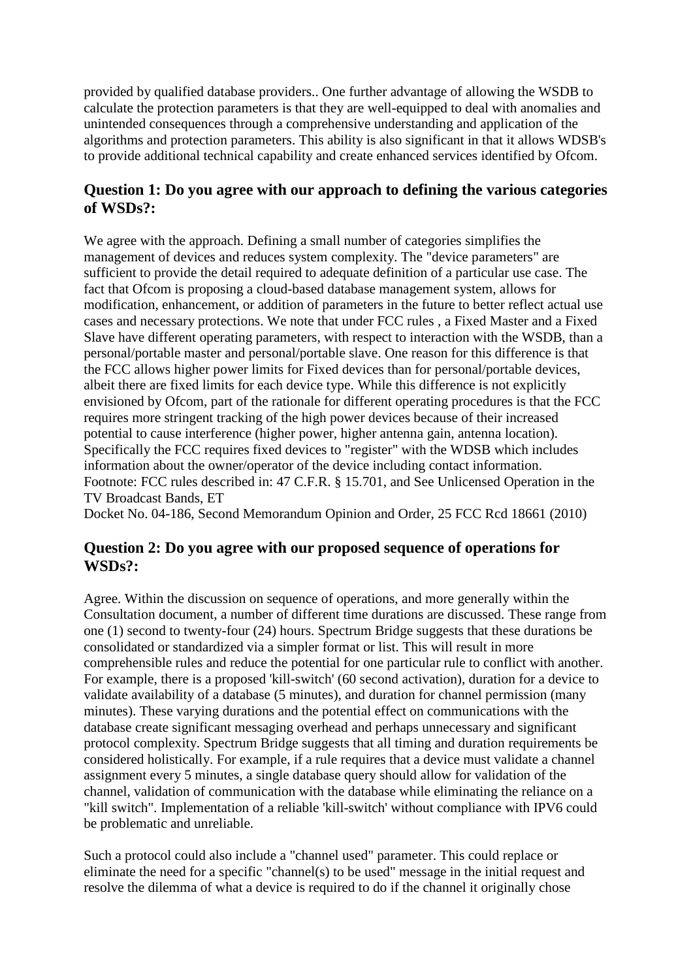provided by qualified database providers.. One further advantage of allowing the WSDB to calculate the protection parameters is that they are well-equipped to deal with anomalies and unintended consequences through a comprehensive understanding and application of the algorithms and protection parameters. This ability is also significant in that it allows WDSB's to provide additional technical capability and create enhanced services identified by Ofcom.

### **Question 1: Do you agree with our approach to defining the various categories of WSDs?:**

We agree with the approach. Defining a small number of categories simplifies the management of devices and reduces system complexity. The "device parameters" are sufficient to provide the detail required to adequate definition of a particular use case. The fact that Ofcom is proposing a cloud-based database management system, allows for modification, enhancement, or addition of parameters in the future to better reflect actual use cases and necessary protections. We note that under FCC rules , a Fixed Master and a Fixed Slave have different operating parameters, with respect to interaction with the WSDB, than a personal/portable master and personal/portable slave. One reason for this difference is that the FCC allows higher power limits for Fixed devices than for personal/portable devices, albeit there are fixed limits for each device type. While this difference is not explicitly envisioned by Ofcom, part of the rationale for different operating procedures is that the FCC requires more stringent tracking of the high power devices because of their increased potential to cause interference (higher power, higher antenna gain, antenna location). Specifically the FCC requires fixed devices to "register" with the WDSB which includes information about the owner/operator of the device including contact information. Footnote: FCC rules described in: 47 C.F.R. § 15.701, and See Unlicensed Operation in the TV Broadcast Bands, ET

Docket No. 04-186, Second Memorandum Opinion and Order, 25 FCC Rcd 18661 (2010)

#### **Question 2: Do you agree with our proposed sequence of operations for WSDs?:**

Agree. Within the discussion on sequence of operations, and more generally within the Consultation document, a number of different time durations are discussed. These range from one (1) second to twenty-four (24) hours. Spectrum Bridge suggests that these durations be consolidated or standardized via a simpler format or list. This will result in more comprehensible rules and reduce the potential for one particular rule to conflict with another. For example, there is a proposed 'kill-switch' (60 second activation), duration for a device to validate availability of a database (5 minutes), and duration for channel permission (many minutes). These varying durations and the potential effect on communications with the database create significant messaging overhead and perhaps unnecessary and significant protocol complexity. Spectrum Bridge suggests that all timing and duration requirements be considered holistically. For example, if a rule requires that a device must validate a channel assignment every 5 minutes, a single database query should allow for validation of the channel, validation of communication with the database while eliminating the reliance on a "kill switch". Implementation of a reliable 'kill-switch' without compliance with IPV6 could be problematic and unreliable.

Such a protocol could also include a "channel used" parameter. This could replace or eliminate the need for a specific "channel(s) to be used" message in the initial request and resolve the dilemma of what a device is required to do if the channel it originally chose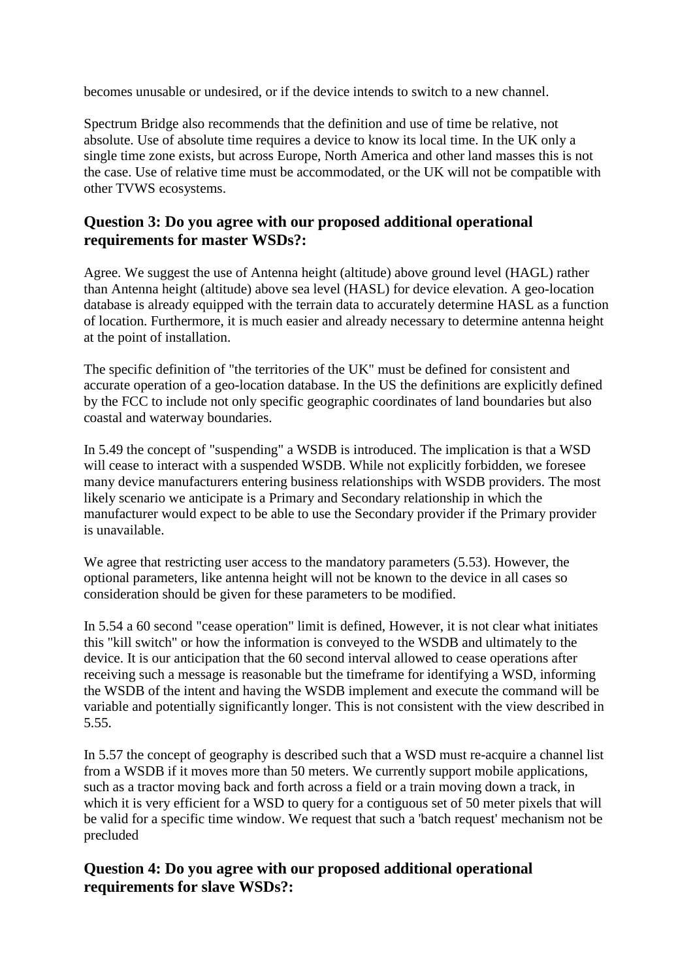becomes unusable or undesired, or if the device intends to switch to a new channel.

Spectrum Bridge also recommends that the definition and use of time be relative, not absolute. Use of absolute time requires a device to know its local time. In the UK only a single time zone exists, but across Europe, North America and other land masses this is not the case. Use of relative time must be accommodated, or the UK will not be compatible with other TVWS ecosystems.

#### **Question 3: Do you agree with our proposed additional operational requirements for master WSDs?:**

Agree. We suggest the use of Antenna height (altitude) above ground level (HAGL) rather than Antenna height (altitude) above sea level (HASL) for device elevation. A geo-location database is already equipped with the terrain data to accurately determine HASL as a function of location. Furthermore, it is much easier and already necessary to determine antenna height at the point of installation.

The specific definition of "the territories of the UK" must be defined for consistent and accurate operation of a geo-location database. In the US the definitions are explicitly defined by the FCC to include not only specific geographic coordinates of land boundaries but also coastal and waterway boundaries.

In 5.49 the concept of "suspending" a WSDB is introduced. The implication is that a WSD will cease to interact with a suspended WSDB. While not explicitly forbidden, we foresee many device manufacturers entering business relationships with WSDB providers. The most likely scenario we anticipate is a Primary and Secondary relationship in which the manufacturer would expect to be able to use the Secondary provider if the Primary provider is unavailable.

We agree that restricting user access to the mandatory parameters  $(5.53)$ . However, the optional parameters, like antenna height will not be known to the device in all cases so consideration should be given for these parameters to be modified.

In 5.54 a 60 second "cease operation" limit is defined, However, it is not clear what initiates this "kill switch" or how the information is conveyed to the WSDB and ultimately to the device. It is our anticipation that the 60 second interval allowed to cease operations after receiving such a message is reasonable but the timeframe for identifying a WSD, informing the WSDB of the intent and having the WSDB implement and execute the command will be variable and potentially significantly longer. This is not consistent with the view described in 5.55.

In 5.57 the concept of geography is described such that a WSD must re-acquire a channel list from a WSDB if it moves more than 50 meters. We currently support mobile applications, such as a tractor moving back and forth across a field or a train moving down a track, in which it is very efficient for a WSD to query for a contiguous set of 50 meter pixels that will be valid for a specific time window. We request that such a 'batch request' mechanism not be precluded

## **Question 4: Do you agree with our proposed additional operational requirements for slave WSDs?:**